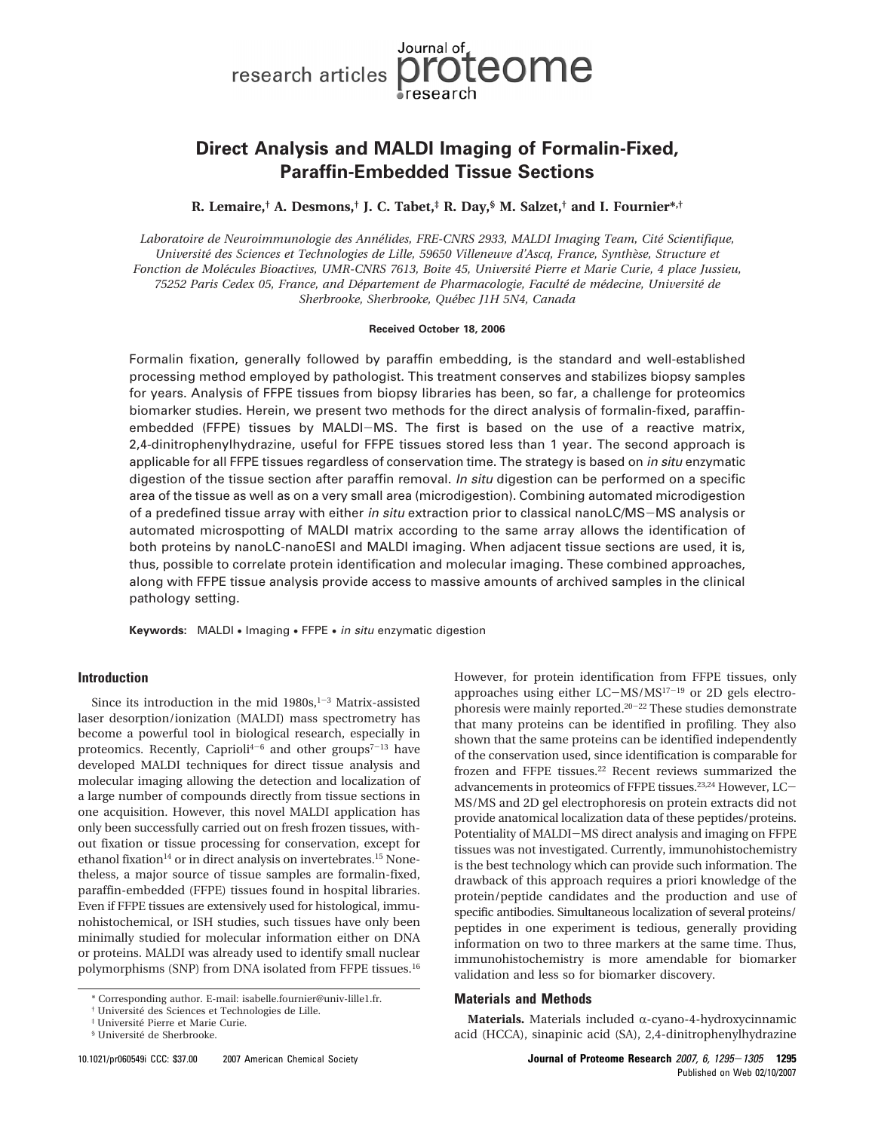**Direct Analysis and MALDI Imaging of Formalin-Fixed, Paraffin-Embedded Tissue Sections**

**Sournal of**<br>research articles **proteome** 

**R. Lemaire,† A. Desmons,† J. C. Tabet,‡ R. Day,§ M. Salzet,† and I. Fournier\*,†**

Laboratoire de Neuroimmunologie des Annélides, FRE-CNRS 2933, MALDI Imaging Team, Cité Scientifique, *Universite´ des Sciences et Technologies de Lille, 59650 Villeneuve d'Ascq, France, Synthe`se, Structure et Fonction de Mole´cules Bioactives, UMR-CNRS 7613, Boite 45, Universite´ Pierre et Marie Curie, 4 place Jussieu,* 75252 Paris Cedex 05, France, and Département de Pharmacologie, Faculté de médecine, Université de *Sherbrooke, Sherbrooke, Que´bec J1H 5N4, Canada*

## **Received October 18, 2006**

Formalin fixation, generally followed by paraffin embedding, is the standard and well-established processing method employed by pathologist. This treatment conserves and stabilizes biopsy samples for years. Analysis of FFPE tissues from biopsy libraries has been, so far, a challenge for proteomics biomarker studies. Herein, we present two methods for the direct analysis of formalin-fixed, paraffinembedded (FFPE) tissues by MALDI-MS. The first is based on the use of a reactive matrix, 2,4-dinitrophenylhydrazine, useful for FFPE tissues stored less than 1 year. The second approach is applicable for all FFPE tissues regardless of conservation time. The strategy is based on in situ enzymatic digestion of the tissue section after paraffin removal. In situ digestion can be performed on a specific area of the tissue as well as on a very small area (microdigestion). Combining automated microdigestion of a predefined tissue array with either in situ extraction prior to classical nanoLC/MS-MS analysis or automated microspotting of MALDI matrix according to the same array allows the identification of both proteins by nanoLC-nanoESI and MALDI imaging. When adjacent tissue sections are used, it is, thus, possible to correlate protein identification and molecular imaging. These combined approaches, along with FFPE tissue analysis provide access to massive amounts of archived samples in the clinical pathology setting.

**Keywords:** MALDI • Imaging • FFPE • in situ enzymatic digestion

### **Introduction**

Since its introduction in the mid  $1980s$ ,<sup>1-3</sup> Matrix-assisted laser desorption/ionization (MALDI) mass spectrometry has become a powerful tool in biological research, especially in proteomics. Recently, Caprioli<sup>4-6</sup> and other groups<sup>7-13</sup> have developed MALDI techniques for direct tissue analysis and molecular imaging allowing the detection and localization of a large number of compounds directly from tissue sections in one acquisition. However, this novel MALDI application has only been successfully carried out on fresh frozen tissues, without fixation or tissue processing for conservation, except for ethanol fixation<sup>14</sup> or in direct analysis on invertebrates.<sup>15</sup> Nonetheless, a major source of tissue samples are formalin-fixed, paraffin-embedded (FFPE) tissues found in hospital libraries. Even if FFPE tissues are extensively used for histological, immunohistochemical, or ISH studies, such tissues have only been minimally studied for molecular information either on DNA or proteins. MALDI was already used to identify small nuclear polymorphisms (SNP) from DNA isolated from FFPE tissues.<sup>16</sup>

However, for protein identification from FFPE tissues, only approaches using either  $LC-MS/MS^{17-19}$  or 2D gels electrophoresis were mainly reported.20-<sup>22</sup> These studies demonstrate that many proteins can be identified in profiling. They also shown that the same proteins can be identified independently of the conservation used, since identification is comparable for frozen and FFPE tissues.<sup>22</sup> Recent reviews summarized the advancements in proteomics of FFPE tissues.23,24 However, LC-MS/MS and 2D gel electrophoresis on protein extracts did not provide anatomical localization data of these peptides/proteins. Potentiality of MALDI-MS direct analysis and imaging on FFPE tissues was not investigated. Currently, immunohistochemistry is the best technology which can provide such information. The drawback of this approach requires a priori knowledge of the protein/peptide candidates and the production and use of specific antibodies. Simultaneous localization of several proteins/ peptides in one experiment is tedious, generally providing information on two to three markers at the same time. Thus, immunohistochemistry is more amendable for biomarker validation and less so for biomarker discovery.

## **Materials and Methods**

**Materials.** Materials included  $\alpha$ -cyano-4-hydroxycinnamic acid (HCCA), sinapinic acid (SA), 2,4-dinitrophenylhydrazine

<sup>\*</sup> Corresponding author. E-mail: isabelle.fournier@univ-lille1.fr.

<sup>†</sup> Universite´ des Sciences et Technologies de Lille.

<sup>‡</sup> Universite´ Pierre et Marie Curie.

<sup>&</sup>lt;sup>§</sup> Université de Sherbrooke.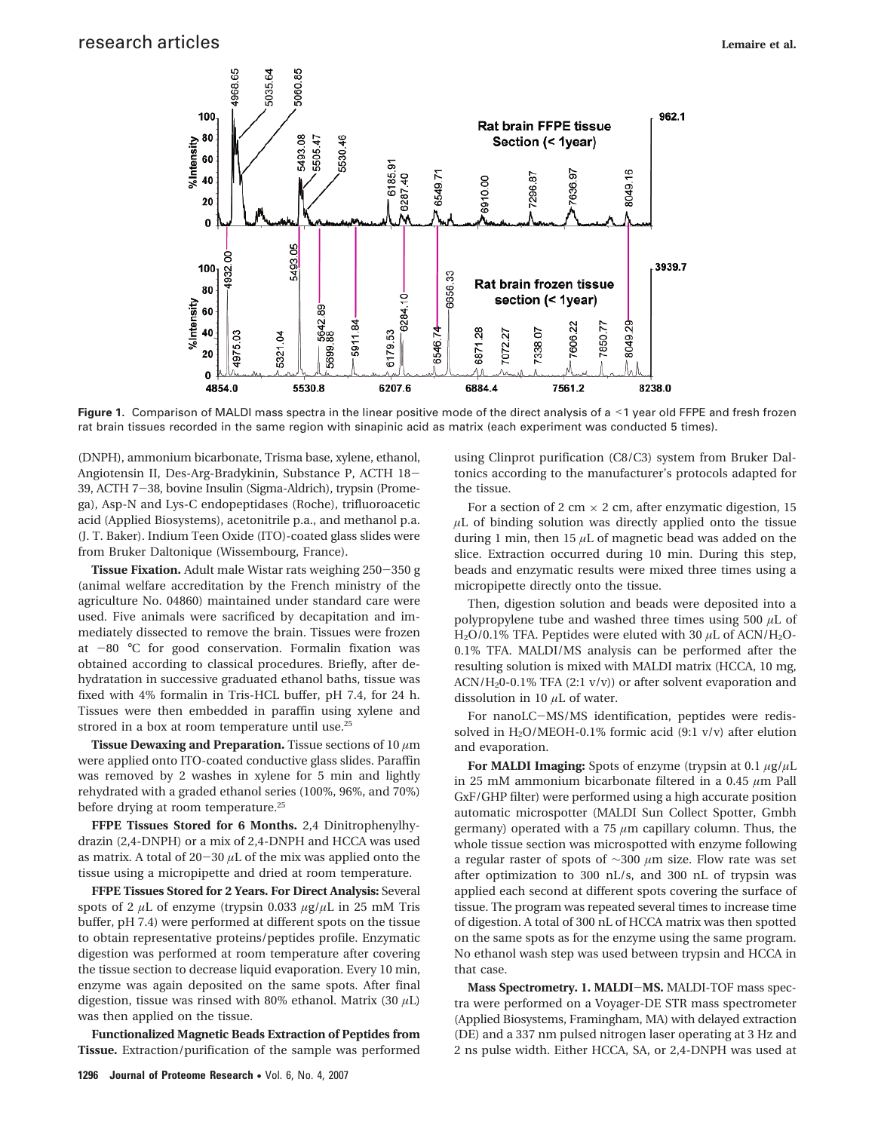

**Figure 1.** Comparison of MALDI mass spectra in the linear positive mode of the direct analysis of a <1 year old FFPE and fresh frozen rat brain tissues recorded in the same region with sinapinic acid as matrix (each experiment was conducted 5 times).

(DNPH), ammonium bicarbonate, Trisma base, xylene, ethanol, Angiotensin II, Des-Arg-Bradykinin, Substance P, ACTH 18- 39, ACTH 7-38, bovine Insulin (Sigma-Aldrich), trypsin (Promega), Asp-N and Lys-C endopeptidases (Roche), trifluoroacetic acid (Applied Biosystems), acetonitrile p.a., and methanol p.a. (J. T. Baker). Indium Teen Oxide (ITO)-coated glass slides were from Bruker Daltonique (Wissembourg, France).

**Tissue Fixation.** Adult male Wistar rats weighing 250-350 g (animal welfare accreditation by the French ministry of the agriculture No. 04860) maintained under standard care were used. Five animals were sacrificed by decapitation and immediately dissected to remove the brain. Tissues were frozen at  $-80$  °C for good conservation. Formalin fixation was obtained according to classical procedures. Briefly, after dehydratation in successive graduated ethanol baths, tissue was fixed with 4% formalin in Tris-HCL buffer, pH 7.4, for 24 h. Tissues were then embedded in paraffin using xylene and strored in a box at room temperature until use.<sup>25</sup>

**Tissue Dewaxing and Preparation.** Tissue sections of 10 *µ*m were applied onto ITO-coated conductive glass slides. Paraffin was removed by 2 washes in xylene for 5 min and lightly rehydrated with a graded ethanol series (100%, 96%, and 70%) before drying at room temperature.<sup>25</sup>

**FFPE Tissues Stored for 6 Months.** 2,4 Dinitrophenylhydrazin (2,4-DNPH) or a mix of 2,4-DNPH and HCCA was used as matrix. A total of  $20-30 \mu L$  of the mix was applied onto the tissue using a micropipette and dried at room temperature.

**FFPE Tissues Stored for 2 Years. For Direct Analysis:** Several spots of 2  $\mu$ L of enzyme (trypsin 0.033  $\mu$ g/ $\mu$ L in 25 mM Tris buffer, pH 7.4) were performed at different spots on the tissue to obtain representative proteins/peptides profile. Enzymatic digestion was performed at room temperature after covering the tissue section to decrease liquid evaporation. Every 10 min, enzyme was again deposited on the same spots. After final digestion, tissue was rinsed with 80% ethanol. Matrix (30 *µ*L) was then applied on the tissue.

**Functionalized Magnetic Beads Extraction of Peptides from Tissue.** Extraction/purification of the sample was performed

using Clinprot purification (C8/C3) system from Bruker Daltonics according to the manufacturer's protocols adapted for the tissue.

For a section of 2 cm  $\times$  2 cm, after enzymatic digestion, 15  $\mu$ L of binding solution was directly applied onto the tissue during 1 min, then 15  $\mu$ L of magnetic bead was added on the slice. Extraction occurred during 10 min. During this step, beads and enzymatic results were mixed three times using a micropipette directly onto the tissue.

Then, digestion solution and beads were deposited into a polypropylene tube and washed three times using 500 *µ*L of H2O/0.1% TFA. Peptides were eluted with 30 *µ*L of ACN/H2O-0.1% TFA. MALDI/MS analysis can be performed after the resulting solution is mixed with MALDI matrix (HCCA, 10 mg, ACN/H20-0.1% TFA (2:1 v/v)) or after solvent evaporation and dissolution in 10 *µ*L of water.

For nanoLC-MS/MS identification, peptides were redissolved in  $H_2O/MEOH-0.1%$  formic acid (9:1 v/v) after elution and evaporation.

**For MALDI Imaging:** Spots of enzyme (trypsin at 0.1 *µ*g/*µ*L in 25 mM ammonium bicarbonate filtered in a 0.45 *µ*m Pall GxF/GHP filter) were performed using a high accurate position automatic microspotter (MALDI Sun Collect Spotter, Gmbh germany) operated with a 75 *µ*m capillary column. Thus, the whole tissue section was microspotted with enzyme following a regular raster of spots of ∼300 *µ*m size. Flow rate was set after optimization to 300 nL/s, and 300 nL of trypsin was applied each second at different spots covering the surface of tissue. The program was repeated several times to increase time of digestion. A total of 300 nL of HCCA matrix was then spotted on the same spots as for the enzyme using the same program. No ethanol wash step was used between trypsin and HCCA in that case.

**Mass Spectrometry. 1. MALDI**-**MS.** MALDI-TOF mass spectra were performed on a Voyager-DE STR mass spectrometer (Applied Biosystems, Framingham, MA) with delayed extraction (DE) and a 337 nm pulsed nitrogen laser operating at 3 Hz and 2 ns pulse width. Either HCCA, SA, or 2,4-DNPH was used at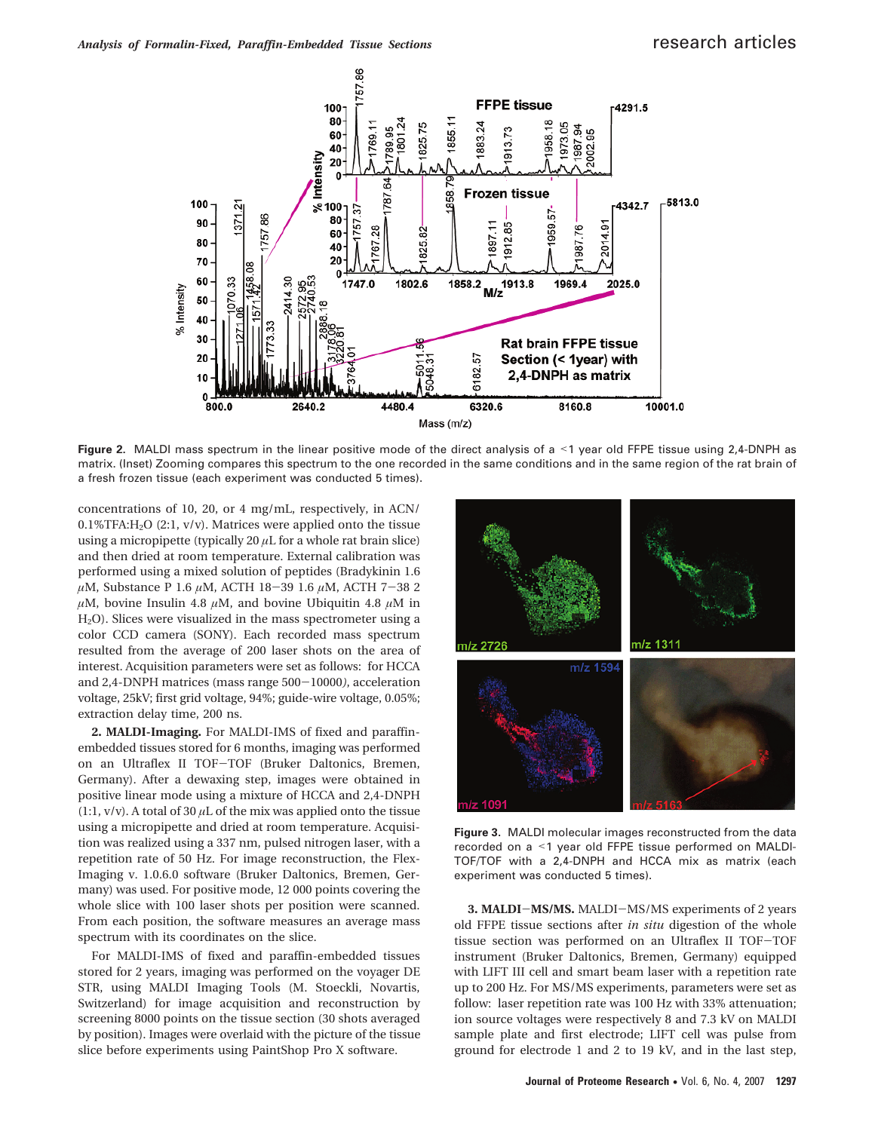

**Figure 2.** MALDI mass spectrum in the linear positive mode of the direct analysis of a <1 year old FFPE tissue using 2,4-DNPH as matrix. (Inset) Zooming compares this spectrum to the one recorded in the same conditions and in the same region of the rat brain of a fresh frozen tissue (each experiment was conducted 5 times).

concentrations of 10, 20, or 4 mg/mL, respectively, in ACN/  $0.1\%$ TFA:H<sub>2</sub>O (2:1, v/v). Matrices were applied onto the tissue using a micropipette (typically 20 *µ*L for a whole rat brain slice) and then dried at room temperature. External calibration was performed using a mixed solution of peptides (Bradykinin 1.6 *<sup>µ</sup>*M, Substance P 1.6 *<sup>µ</sup>*M, ACTH 18-39 1.6 *<sup>µ</sup>*M, ACTH 7-38 2  $\mu$ M, bovine Insulin 4.8  $\mu$ M, and bovine Ubiquitin 4.8  $\mu$ M in H2O). Slices were visualized in the mass spectrometer using a color CCD camera (SONY). Each recorded mass spectrum resulted from the average of 200 laser shots on the area of interest. Acquisition parameters were set as follows: for HCCA and 2,4-DNPH matrices (mass range 500-10000*)*, acceleration voltage, 25kV; first grid voltage, 94%; guide-wire voltage, 0.05%; extraction delay time, 200 ns.

**2. MALDI-Imaging.** For MALDI-IMS of fixed and paraffinembedded tissues stored for 6 months, imaging was performed on an Ultraflex II TOF-TOF (Bruker Daltonics, Bremen, Germany). After a dewaxing step, images were obtained in positive linear mode using a mixture of HCCA and 2,4-DNPH  $(1:1, v/v)$ . A total of 30  $\mu$ L of the mix was applied onto the tissue using a micropipette and dried at room temperature. Acquisition was realized using a 337 nm, pulsed nitrogen laser, with a repetition rate of 50 Hz. For image reconstruction, the Flex-Imaging v. 1.0.6.0 software (Bruker Daltonics, Bremen, Germany) was used. For positive mode, 12 000 points covering the whole slice with 100 laser shots per position were scanned. From each position, the software measures an average mass spectrum with its coordinates on the slice.

For MALDI-IMS of fixed and paraffin-embedded tissues stored for 2 years, imaging was performed on the voyager DE STR, using MALDI Imaging Tools (M. Stoeckli, Novartis, Switzerland) for image acquisition and reconstruction by screening 8000 points on the tissue section (30 shots averaged by position). Images were overlaid with the picture of the tissue slice before experiments using PaintShop Pro X software.



**Figure 3.** MALDI molecular images reconstructed from the data recorded on a <1 year old FFPE tissue performed on MALDI-TOF/TOF with a 2,4-DNPH and HCCA mix as matrix (each experiment was conducted 5 times).

**3. MALDI**-**MS/MS.** MALDI-MS/MS experiments of 2 years old FFPE tissue sections after *in situ* digestion of the whole tissue section was performed on an Ultraflex II TOF-TOF instrument (Bruker Daltonics, Bremen, Germany) equipped with LIFT III cell and smart beam laser with a repetition rate up to 200 Hz. For MS/MS experiments, parameters were set as follow: laser repetition rate was 100 Hz with 33% attenuation; ion source voltages were respectively 8 and 7.3 kV on MALDI sample plate and first electrode; LIFT cell was pulse from ground for electrode 1 and 2 to 19 kV, and in the last step,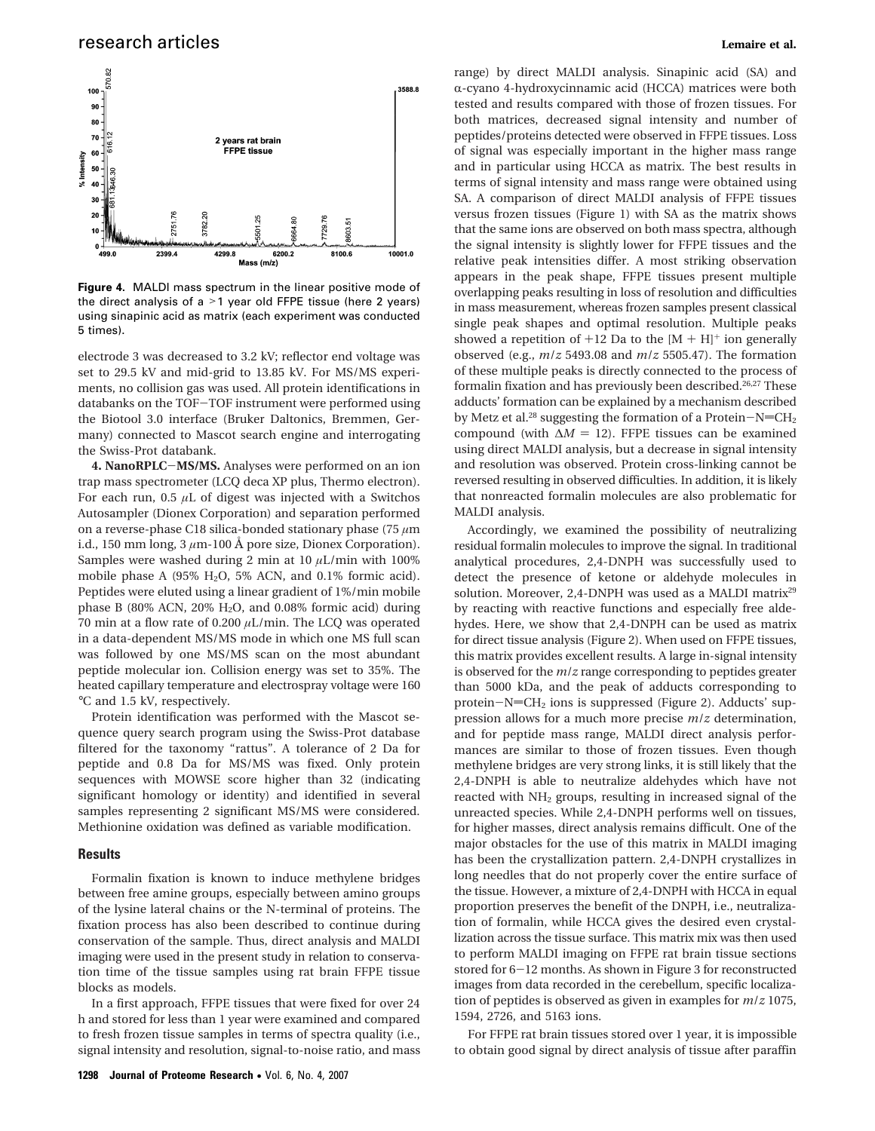

**Figure 4.** MALDI mass spectrum in the linear positive mode of the direct analysis of a  $>1$  year old FFPE tissue (here 2 years) using sinapinic acid as matrix (each experiment was conducted 5 times).

electrode 3 was decreased to 3.2 kV; reflector end voltage was set to 29.5 kV and mid-grid to 13.85 kV. For MS/MS experiments, no collision gas was used. All protein identifications in databanks on the TOF-TOF instrument were performed using the Biotool 3.0 interface (Bruker Daltonics, Bremmen, Germany) connected to Mascot search engine and interrogating the Swiss-Prot databank.

**4. NanoRPLC**-**MS/MS.** Analyses were performed on an ion trap mass spectrometer (LCQ deca XP plus, Thermo electron). For each run, 0.5 *µ*L of digest was injected with a Switchos Autosampler (Dionex Corporation) and separation performed on a reverse-phase C18 silica-bonded stationary phase (75 *µ*m i.d., 150 mm long, 3 *µ*m-100 Å pore size, Dionex Corporation). Samples were washed during 2 min at 10 *µ*L/min with 100% mobile phase A  $(95\% \text{ H}_2\text{O}, 5\% \text{ ACN}, \text{ and } 0.1\% \text{ formic acid}).$ Peptides were eluted using a linear gradient of 1%/min mobile phase B (80% ACN, 20%  $H<sub>2</sub>O$ , and 0.08% formic acid) during 70 min at a flow rate of 0.200 *µ*L/min. The LCQ was operated in a data-dependent MS/MS mode in which one MS full scan was followed by one MS/MS scan on the most abundant peptide molecular ion. Collision energy was set to 35%. The heated capillary temperature and electrospray voltage were 160 °C and 1.5 kV, respectively.

Protein identification was performed with the Mascot sequence query search program using the Swiss-Prot database filtered for the taxonomy "rattus". A tolerance of 2 Da for peptide and 0.8 Da for MS/MS was fixed. Only protein sequences with MOWSE score higher than 32 (indicating significant homology or identity) and identified in several samples representing 2 significant MS/MS were considered. Methionine oxidation was defined as variable modification.

## **Results**

Formalin fixation is known to induce methylene bridges between free amine groups, especially between amino groups of the lysine lateral chains or the N-terminal of proteins. The fixation process has also been described to continue during conservation of the sample. Thus, direct analysis and MALDI imaging were used in the present study in relation to conservation time of the tissue samples using rat brain FFPE tissue blocks as models.

In a first approach, FFPE tissues that were fixed for over 24 h and stored for less than 1 year were examined and compared to fresh frozen tissue samples in terms of spectra quality (i.e., signal intensity and resolution, signal-to-noise ratio, and mass range) by direct MALDI analysis. Sinapinic acid (SA) and  $\alpha$ -cyano 4-hydroxycinnamic acid (HCCA) matrices were both tested and results compared with those of frozen tissues. For both matrices, decreased signal intensity and number of peptides/proteins detected were observed in FFPE tissues. Loss of signal was especially important in the higher mass range and in particular using HCCA as matrix. The best results in terms of signal intensity and mass range were obtained using SA. A comparison of direct MALDI analysis of FFPE tissues versus frozen tissues (Figure 1) with SA as the matrix shows that the same ions are observed on both mass spectra, although the signal intensity is slightly lower for FFPE tissues and the relative peak intensities differ. A most striking observation appears in the peak shape, FFPE tissues present multiple overlapping peaks resulting in loss of resolution and difficulties in mass measurement, whereas frozen samples present classical single peak shapes and optimal resolution. Multiple peaks showed a repetition of  $+12$  Da to the  $[M + H]$ <sup>+</sup> ion generally observed (e.g., *m*/*z* 5493.08 and *m*/*z* 5505.47). The formation of these multiple peaks is directly connected to the process of formalin fixation and has previously been described.<sup>26,27</sup> These adducts' formation can be explained by a mechanism described by Metz et al.<sup>28</sup> suggesting the formation of a Protein-N=CH<sub>2</sub> compound (with  $\Delta M = 12$ ). FFPE tissues can be examined using direct MALDI analysis, but a decrease in signal intensity and resolution was observed. Protein cross-linking cannot be reversed resulting in observed difficulties. In addition, it is likely that nonreacted formalin molecules are also problematic for MALDI analysis.

Accordingly, we examined the possibility of neutralizing residual formalin molecules to improve the signal. In traditional analytical procedures, 2,4-DNPH was successfully used to detect the presence of ketone or aldehyde molecules in solution. Moreover, 2,4-DNPH was used as a MALDI matrix<sup>29</sup> by reacting with reactive functions and especially free aldehydes. Here, we show that 2,4-DNPH can be used as matrix for direct tissue analysis (Figure 2). When used on FFPE tissues, this matrix provides excellent results. A large in-signal intensity is observed for the *m*/*z* range corresponding to peptides greater than 5000 kDa, and the peak of adducts corresponding to protein $-N=CH_2$  ions is suppressed (Figure 2). Adducts' suppression allows for a much more precise *m*/*z* determination, and for peptide mass range, MALDI direct analysis performances are similar to those of frozen tissues. Even though methylene bridges are very strong links, it is still likely that the 2,4-DNPH is able to neutralize aldehydes which have not reacted with NH2 groups, resulting in increased signal of the unreacted species. While 2,4-DNPH performs well on tissues, for higher masses, direct analysis remains difficult. One of the major obstacles for the use of this matrix in MALDI imaging has been the crystallization pattern. 2,4-DNPH crystallizes in long needles that do not properly cover the entire surface of the tissue. However, a mixture of 2,4-DNPH with HCCA in equal proportion preserves the benefit of the DNPH, i.e., neutralization of formalin, while HCCA gives the desired even crystallization across the tissue surface. This matrix mix was then used to perform MALDI imaging on FFPE rat brain tissue sections stored for 6-12 months. As shown in Figure 3 for reconstructed images from data recorded in the cerebellum, specific localization of peptides is observed as given in examples for *m*/*z* 1075, 1594, 2726, and 5163 ions.

For FFPE rat brain tissues stored over 1 year, it is impossible to obtain good signal by direct analysis of tissue after paraffin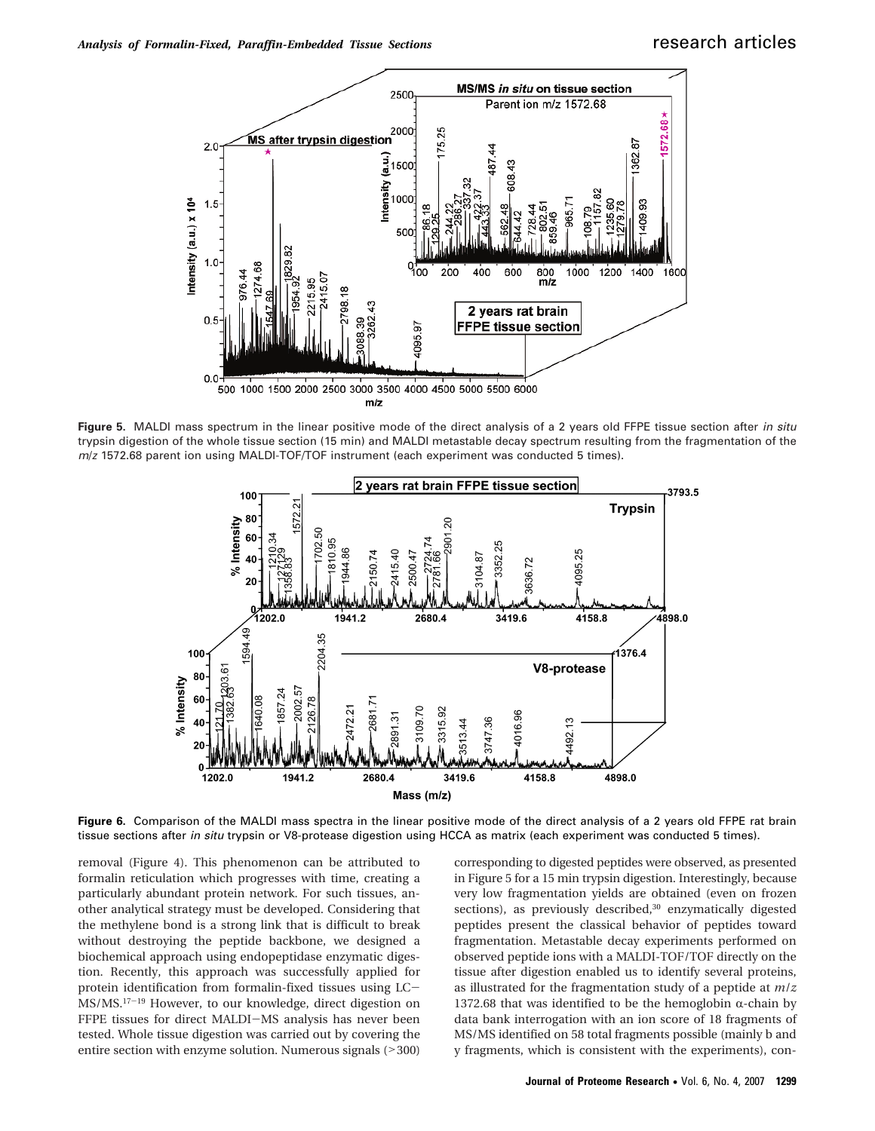

**Figure 5.** MALDI mass spectrum in the linear positive mode of the direct analysis of a 2 years old FFPE tissue section after in situ trypsin digestion of the whole tissue section (15 min) and MALDI metastable decay spectrum resulting from the fragmentation of the  $m/z$  1572.68 parent ion using MALDI-TOF/TOF instrument (each experiment was conducted 5 times).



**Figure 6.** Comparison of the MALDI mass spectra in the linear positive mode of the direct analysis of a 2 years old FFPE rat brain tissue sections after in situ trypsin or V8-protease digestion using HCCA as matrix (each experiment was conducted 5 times).

removal (Figure 4). This phenomenon can be attributed to formalin reticulation which progresses with time, creating a particularly abundant protein network. For such tissues, another analytical strategy must be developed. Considering that the methylene bond is a strong link that is difficult to break without destroying the peptide backbone, we designed a biochemical approach using endopeptidase enzymatic digestion. Recently, this approach was successfully applied for protein identification from formalin-fixed tissues using LC-MS/MS.17-<sup>19</sup> However, to our knowledge, direct digestion on FFPE tissues for direct MALDI-MS analysis has never been tested. Whole tissue digestion was carried out by covering the entire section with enzyme solution. Numerous signals (>300)

corresponding to digested peptides were observed, as presented in Figure 5 for a 15 min trypsin digestion. Interestingly, because very low fragmentation yields are obtained (even on frozen sections), as previously described,<sup>30</sup> enzymatically digested peptides present the classical behavior of peptides toward fragmentation. Metastable decay experiments performed on observed peptide ions with a MALDI-TOF/TOF directly on the tissue after digestion enabled us to identify several proteins, as illustrated for the fragmentation study of a peptide at *m*/*z* 1372.68 that was identified to be the hemoglobin  $\alpha$ -chain by data bank interrogation with an ion score of 18 fragments of MS/MS identified on 58 total fragments possible (mainly b and y fragments, which is consistent with the experiments), con-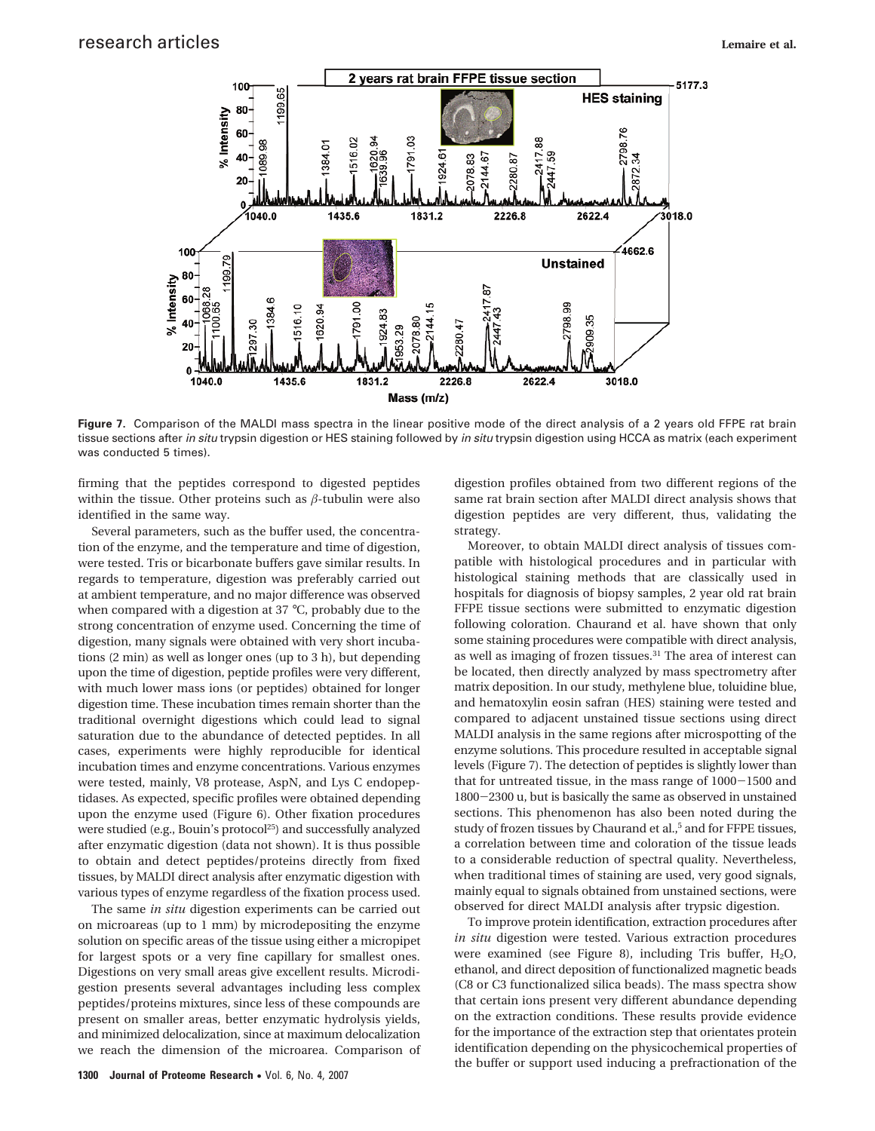

**Figure 7.** Comparison of the MALDI mass spectra in the linear positive mode of the direct analysis of a 2 years old FFPE rat brain tissue sections after in situ trypsin digestion or HES staining followed by in situ trypsin digestion using HCCA as matrix (each experiment was conducted 5 times).

firming that the peptides correspond to digested peptides within the tissue. Other proteins such as  $\beta$ -tubulin were also identified in the same way.

Several parameters, such as the buffer used, the concentration of the enzyme, and the temperature and time of digestion, were tested. Tris or bicarbonate buffers gave similar results. In regards to temperature, digestion was preferably carried out at ambient temperature, and no major difference was observed when compared with a digestion at 37 °C, probably due to the strong concentration of enzyme used. Concerning the time of digestion, many signals were obtained with very short incubations (2 min) as well as longer ones (up to 3 h), but depending upon the time of digestion, peptide profiles were very different, with much lower mass ions (or peptides) obtained for longer digestion time. These incubation times remain shorter than the traditional overnight digestions which could lead to signal saturation due to the abundance of detected peptides. In all cases, experiments were highly reproducible for identical incubation times and enzyme concentrations. Various enzymes were tested, mainly, V8 protease, AspN, and Lys C endopeptidases. As expected, specific profiles were obtained depending upon the enzyme used (Figure 6). Other fixation procedures were studied (e.g., Bouin's protocol<sup>25</sup>) and successfully analyzed after enzymatic digestion (data not shown). It is thus possible to obtain and detect peptides/proteins directly from fixed tissues, by MALDI direct analysis after enzymatic digestion with various types of enzyme regardless of the fixation process used.

The same *in situ* digestion experiments can be carried out on microareas (up to 1 mm) by microdepositing the enzyme solution on specific areas of the tissue using either a micropipet for largest spots or a very fine capillary for smallest ones. Digestions on very small areas give excellent results. Microdigestion presents several advantages including less complex peptides/proteins mixtures, since less of these compounds are present on smaller areas, better enzymatic hydrolysis yields, and minimized delocalization, since at maximum delocalization we reach the dimension of the microarea. Comparison of

digestion profiles obtained from two different regions of the same rat brain section after MALDI direct analysis shows that digestion peptides are very different, thus, validating the strategy.

Moreover, to obtain MALDI direct analysis of tissues compatible with histological procedures and in particular with histological staining methods that are classically used in hospitals for diagnosis of biopsy samples, 2 year old rat brain FFPE tissue sections were submitted to enzymatic digestion following coloration. Chaurand et al. have shown that only some staining procedures were compatible with direct analysis, as well as imaging of frozen tissues.<sup>31</sup> The area of interest can be located, then directly analyzed by mass spectrometry after matrix deposition. In our study, methylene blue, toluidine blue, and hematoxylin eosin safran (HES) staining were tested and compared to adjacent unstained tissue sections using direct MALDI analysis in the same regions after microspotting of the enzyme solutions. This procedure resulted in acceptable signal levels (Figure 7). The detection of peptides is slightly lower than that for untreated tissue, in the mass range of 1000-1500 and <sup>1800</sup>-2300 u, but is basically the same as observed in unstained sections. This phenomenon has also been noted during the study of frozen tissues by Chaurand et al.,<sup>5</sup> and for FFPE tissues, a correlation between time and coloration of the tissue leads to a considerable reduction of spectral quality. Nevertheless, when traditional times of staining are used, very good signals, mainly equal to signals obtained from unstained sections, were observed for direct MALDI analysis after trypsic digestion.

To improve protein identification, extraction procedures after *in situ* digestion were tested. Various extraction procedures were examined (see Figure 8), including Tris buffer,  $H_2O$ , ethanol, and direct deposition of functionalized magnetic beads (C8 or C3 functionalized silica beads). The mass spectra show that certain ions present very different abundance depending on the extraction conditions. These results provide evidence for the importance of the extraction step that orientates protein identification depending on the physicochemical properties of the buffer or support used inducing a prefractionation of the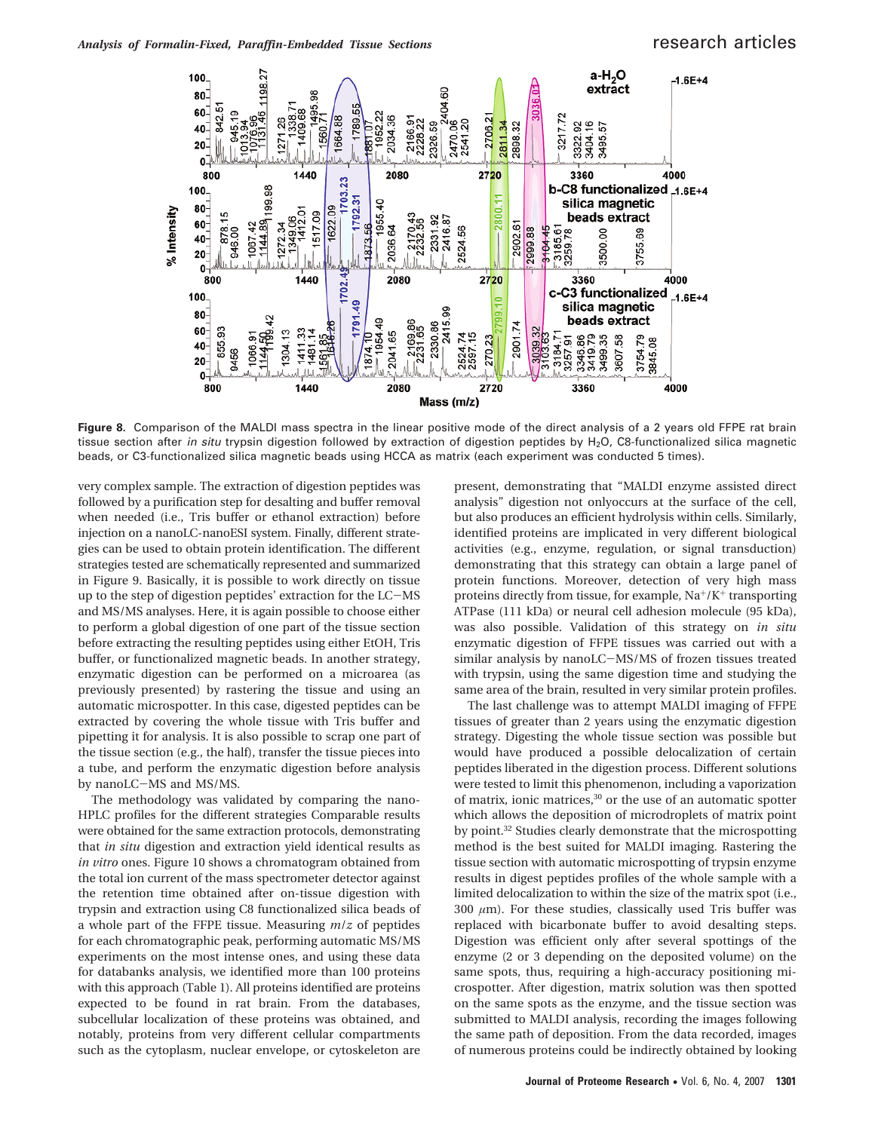

**Figure 8.** Comparison of the MALDI mass spectra in the linear positive mode of the direct analysis of a 2 years old FFPE rat brain tissue section after in situ trypsin digestion followed by extraction of digestion peptides by  $H_2O$ , C8-functionalized silica magnetic beads, or C3-functionalized silica magnetic beads using HCCA as matrix (each experiment was conducted 5 times).

very complex sample. The extraction of digestion peptides was followed by a purification step for desalting and buffer removal when needed (i.e., Tris buffer or ethanol extraction) before injection on a nanoLC-nanoESI system. Finally, different strategies can be used to obtain protein identification. The different strategies tested are schematically represented and summarized in Figure 9. Basically, it is possible to work directly on tissue up to the step of digestion peptides' extraction for the LC-MS and MS/MS analyses. Here, it is again possible to choose either to perform a global digestion of one part of the tissue section before extracting the resulting peptides using either EtOH, Tris buffer, or functionalized magnetic beads. In another strategy, enzymatic digestion can be performed on a microarea (as previously presented) by rastering the tissue and using an automatic microspotter. In this case, digested peptides can be extracted by covering the whole tissue with Tris buffer and pipetting it for analysis. It is also possible to scrap one part of the tissue section (e.g., the half), transfer the tissue pieces into a tube, and perform the enzymatic digestion before analysis by nanoLC-MS and MS/MS.

The methodology was validated by comparing the nano-HPLC profiles for the different strategies Comparable results were obtained for the same extraction protocols, demonstrating that *in situ* digestion and extraction yield identical results as *in vitro* ones. Figure 10 shows a chromatogram obtained from the total ion current of the mass spectrometer detector against the retention time obtained after on-tissue digestion with trypsin and extraction using C8 functionalized silica beads of a whole part of the FFPE tissue. Measuring *m*/*z* of peptides for each chromatographic peak, performing automatic MS/MS experiments on the most intense ones, and using these data for databanks analysis, we identified more than 100 proteins with this approach (Table 1). All proteins identified are proteins expected to be found in rat brain. From the databases, subcellular localization of these proteins was obtained, and notably, proteins from very different cellular compartments such as the cytoplasm, nuclear envelope, or cytoskeleton are

present, demonstrating that "MALDI enzyme assisted direct analysis" digestion not onlyoccurs at the surface of the cell, but also produces an efficient hydrolysis within cells. Similarly, identified proteins are implicated in very different biological activities (e.g., enzyme, regulation, or signal transduction) demonstrating that this strategy can obtain a large panel of protein functions. Moreover, detection of very high mass proteins directly from tissue, for example,  $Na^+/K^+$  transporting ATPase (111 kDa) or neural cell adhesion molecule (95 kDa), was also possible. Validation of this strategy on *in situ* enzymatic digestion of FFPE tissues was carried out with a similar analysis by nanoLC-MS/MS of frozen tissues treated with trypsin, using the same digestion time and studying the same area of the brain, resulted in very similar protein profiles.

The last challenge was to attempt MALDI imaging of FFPE tissues of greater than 2 years using the enzymatic digestion strategy. Digesting the whole tissue section was possible but would have produced a possible delocalization of certain peptides liberated in the digestion process. Different solutions were tested to limit this phenomenon, including a vaporization of matrix, ionic matrices,<sup>30</sup> or the use of an automatic spotter which allows the deposition of microdroplets of matrix point by point.32 Studies clearly demonstrate that the microspotting method is the best suited for MALDI imaging. Rastering the tissue section with automatic microspotting of trypsin enzyme results in digest peptides profiles of the whole sample with a limited delocalization to within the size of the matrix spot (i.e., 300  $\mu$ m). For these studies, classically used Tris buffer was replaced with bicarbonate buffer to avoid desalting steps. Digestion was efficient only after several spottings of the enzyme (2 or 3 depending on the deposited volume) on the same spots, thus, requiring a high-accuracy positioning microspotter. After digestion, matrix solution was then spotted on the same spots as the enzyme, and the tissue section was submitted to MALDI analysis, recording the images following the same path of deposition. From the data recorded, images of numerous proteins could be indirectly obtained by looking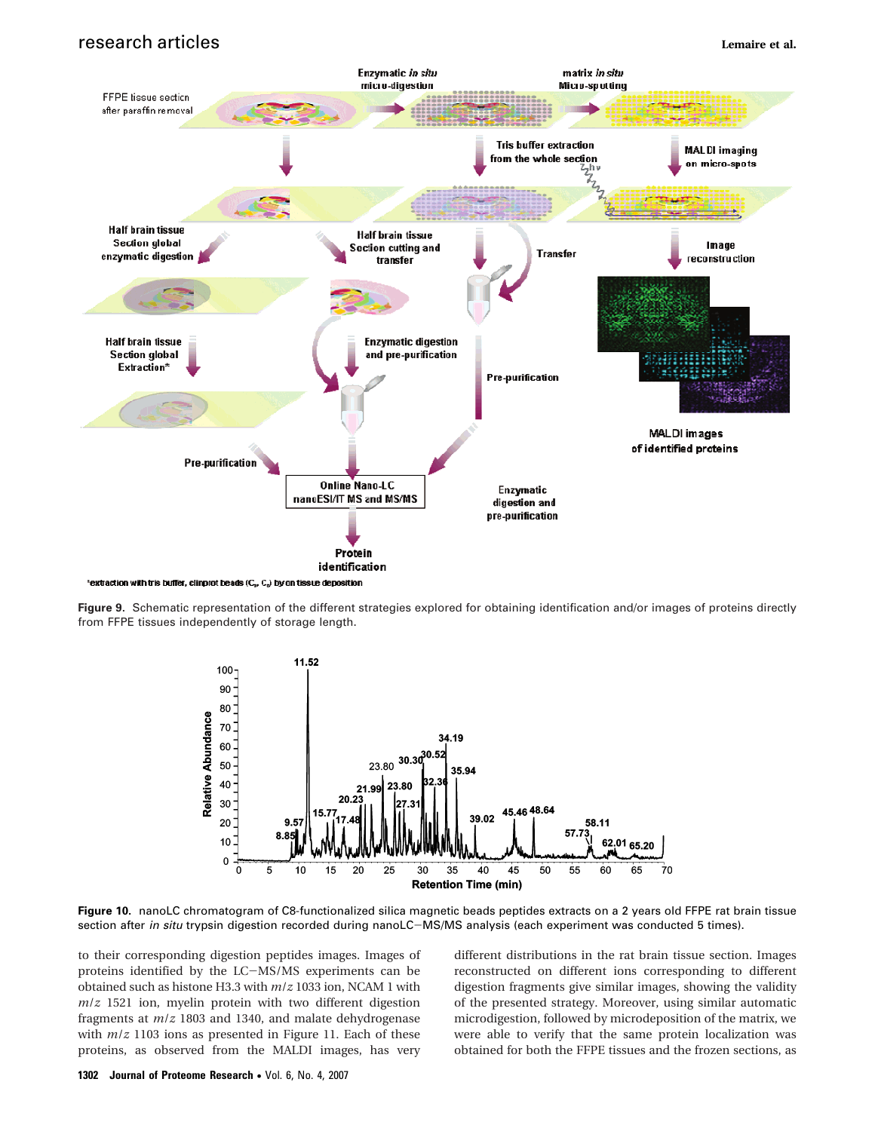# **research articles Lemaire et al. Lemaire et al. Lemaire et al.**



**Figure 9.** Schematic representation of the different strategies explored for obtaining identification and/or images of proteins directly from FFPE tissues independently of storage length.



**Figure 10.** nanoLC chromatogram of C8-functionalized silica magnetic beads peptides extracts on a 2 years old FFPE rat brain tissue section after in situ trypsin digestion recorded during nanoLC-MS/MS analysis (each experiment was conducted 5 times).

to their corresponding digestion peptides images. Images of proteins identified by the LC-MS/MS experiments can be obtained such as histone H3.3 with *m*/*z* 1033 ion, NCAM 1 with *m*/*z* 1521 ion, myelin protein with two different digestion fragments at *m*/*z* 1803 and 1340, and malate dehydrogenase with *m*/*z* 1103 ions as presented in Figure 11. Each of these proteins, as observed from the MALDI images, has very

different distributions in the rat brain tissue section. Images reconstructed on different ions corresponding to different digestion fragments give similar images, showing the validity of the presented strategy. Moreover, using similar automatic microdigestion, followed by microdeposition of the matrix, we were able to verify that the same protein localization was obtained for both the FFPE tissues and the frozen sections, as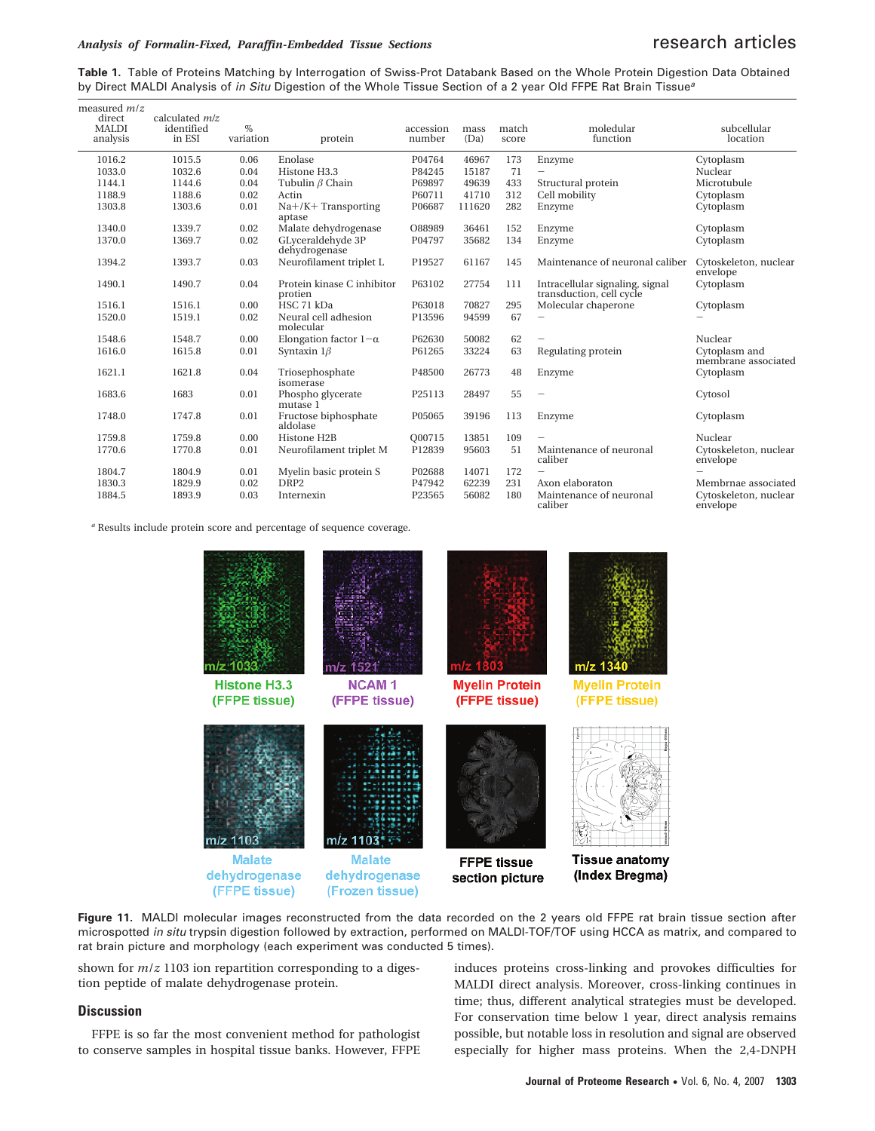# *Analysis of Formalin-Fixed, Paraffin-Embedded Tissue Sections* research articles

**Table 1.** Table of Proteins Matching by Interrogation of Swiss-Prot Databank Based on the Whole Protein Digestion Data Obtained by Direct MALDI Analysis of in Situ Digestion of the Whole Tissue Section of a 2 year Old FFPE Rat Brain Tissue<sup>a</sup>

| measured $m/z$<br>direct<br><b>MALDI</b><br>analysis | calculated $m/z$<br>identified<br>in ESI | $\%$<br>variation | protein                               | accession<br>number | mass<br>(Da) | match<br>score | moledular<br>function                                       | subcellular<br>location              |
|------------------------------------------------------|------------------------------------------|-------------------|---------------------------------------|---------------------|--------------|----------------|-------------------------------------------------------------|--------------------------------------|
| 1016.2                                               | 1015.5                                   | 0.06              | Enolase                               | P04764              | 46967        | 173            | Enzyme                                                      | Cytoplasm                            |
| 1033.0                                               | 1032.6                                   | 0.04              | Histone H3.3                          | P84245              | 15187        | 71             |                                                             | Nuclear                              |
| 1144.1                                               | 1144.6                                   | 0.04              | Tubulin $\beta$ Chain                 | P69897              | 49639        | 433            | Structural protein                                          | Microtubule                          |
| 1188.9                                               | 1188.6                                   | 0.02              | Actin                                 | P60711              | 41710        | 312            | Cell mobility                                               | Cytoplasm                            |
| 1303.8                                               | 1303.6                                   | 0.01              | $Na+ / K+$ Transporting<br>aptase     | P06687              | 111620       | 282            | Enzyme                                                      | Cytoplasm                            |
| 1340.0                                               | 1339.7                                   | 0.02              | Malate dehydrogenase                  | O88989              | 36461        | 152            | Enzyme                                                      | Cytoplasm                            |
| 1370.0                                               | 1369.7                                   | 0.02              | GLyceraldehyde 3P<br>dehydrogenase    | P04797              | 35682        | 134            | Enzyme                                                      | Cytoplasm                            |
| 1394.2                                               | 1393.7                                   | 0.03              | Neurofilament triplet L               | P19527              | 61167        | 145            | Maintenance of neuronal caliber                             | Cytoskeleton, nuclear<br>envelope    |
| 1490.1                                               | 1490.7                                   | 0.04              | Protein kinase C inhibitor<br>protien | P63102              | 27754        | 111            | Intracellular signaling, signal<br>transduction, cell cycle | Cytoplasm                            |
| 1516.1                                               | 1516.1                                   | 0.00              | HSC 71 kDa                            | P63018              | 70827        | 295            | Molecular chaperone                                         | Cytoplasm                            |
| 1520.0                                               | 1519.1                                   | 0.02              | Neural cell adhesion<br>molecular     | P13596              | 94599        | 67             |                                                             |                                      |
| 1548.6                                               | 1548.7                                   | 0.00              | Elongation factor $1-\alpha$          | P62630              | 50082        | 62             |                                                             | Nuclear                              |
| 1616.0                                               | 1615.8                                   | 0.01              | Syntaxin $1\beta$                     | P61265              | 33224        | 63             | Regulating protein                                          | Cytoplasm and<br>membrane associated |
| 1621.1                                               | 1621.8                                   | 0.04              | Triosephosphate<br>isomerase          | P48500              | 26773        | 48             | Enzyme                                                      | Cytoplasm                            |
| 1683.6                                               | 1683                                     | 0.01              | Phospho glycerate<br>mutase 1         | P25113              | 28497        | 55             | $\overline{\phantom{0}}$                                    | Cytosol                              |
| 1748.0                                               | 1747.8                                   | 0.01              | Fructose biphosphate<br>aldolase      | P05065              | 39196        | 113            | Enzyme                                                      | Cytoplasm                            |
| 1759.8                                               | 1759.8                                   | 0.00              | Histone H2B                           | O00715              | 13851        | 109            |                                                             | Nuclear                              |
| 1770.6                                               | 1770.8                                   | 0.01              | Neurofilament triplet M               | P12839              | 95603        | 51             | Maintenance of neuronal<br>caliber                          | Cytoskeleton, nuclear<br>envelope    |
| 1804.7                                               | 1804.9                                   | 0.01              | Myelin basic protein S                | P02688              | 14071        | 172            |                                                             |                                      |
| 1830.3                                               | 1829.9                                   | 0.02              | DRP <sub>2</sub>                      | P47942              | 62239        | 231            | Axon elaboraton                                             | Membrnae associated                  |
| 1884.5                                               | 1893.9                                   | 0.03              | Internexin                            | P23565              | 56082        | 180            | Maintenance of neuronal<br>caliber                          | Cytoskeleton, nuclear<br>envelope    |

*<sup>a</sup>* Results include protein score and percentage of sequence coverage.



**Figure 11.** MALDI molecular images reconstructed from the data recorded on the 2 years old FFPE rat brain tissue section after microspotted in situ trypsin digestion followed by extraction, performed on MALDI-TOF/TOF using HCCA as matrix, and compared to rat brain picture and morphology (each experiment was conducted 5 times).

shown for  $m/z$  1103 ion repartition corresponding to a digestion peptide of malate dehydrogenase protein.

## **Discussion**

FFPE is so far the most convenient method for pathologist to conserve samples in hospital tissue banks. However, FFPE

induces proteins cross-linking and provokes difficulties for MALDI direct analysis. Moreover, cross-linking continues in time; thus, different analytical strategies must be developed. For conservation time below 1 year, direct analysis remains possible, but notable loss in resolution and signal are observed especially for higher mass proteins. When the 2,4-DNPH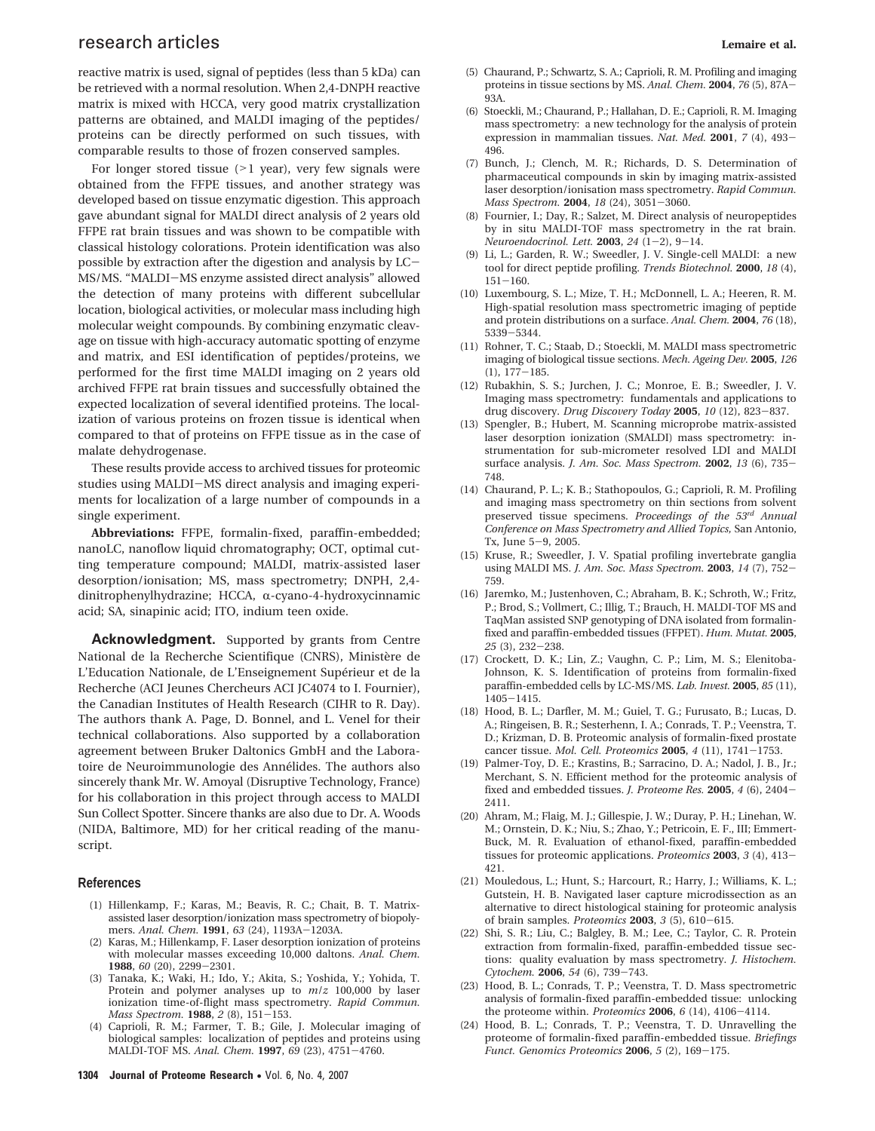# **research articles Lemaire et al. Lemaire et al.**

reactive matrix is used, signal of peptides (less than 5 kDa) can be retrieved with a normal resolution. When 2,4-DNPH reactive matrix is mixed with HCCA, very good matrix crystallization patterns are obtained, and MALDI imaging of the peptides/ proteins can be directly performed on such tissues, with comparable results to those of frozen conserved samples.

For longer stored tissue  $(>1$  year), very few signals were obtained from the FFPE tissues, and another strategy was developed based on tissue enzymatic digestion. This approach gave abundant signal for MALDI direct analysis of 2 years old FFPE rat brain tissues and was shown to be compatible with classical histology colorations. Protein identification was also possible by extraction after the digestion and analysis by LC-MS/MS. "MALDI-MS enzyme assisted direct analysis" allowed the detection of many proteins with different subcellular location, biological activities, or molecular mass including high molecular weight compounds. By combining enzymatic cleavage on tissue with high-accuracy automatic spotting of enzyme and matrix, and ESI identification of peptides/proteins, we performed for the first time MALDI imaging on 2 years old archived FFPE rat brain tissues and successfully obtained the expected localization of several identified proteins. The localization of various proteins on frozen tissue is identical when compared to that of proteins on FFPE tissue as in the case of malate dehydrogenase.

These results provide access to archived tissues for proteomic studies using MALDI-MS direct analysis and imaging experiments for localization of a large number of compounds in a single experiment.

**Abbreviations:** FFPE, formalin-fixed, paraffin-embedded; nanoLC, nanoflow liquid chromatography; OCT, optimal cutting temperature compound; MALDI, matrix-assisted laser desorption/ionisation; MS, mass spectrometry; DNPH, 2,4 dinitrophenylhydrazine; HCCA, α-cyano-4-hydroxycinnamic acid; SA, sinapinic acid; ITO, indium teen oxide.

**Acknowledgment.** Supported by grants from Centre National de la Recherche Scientifique (CNRS), Ministère de L'Education Nationale, de L'Enseignement Supérieur et de la Recherche (ACI Jeunes Chercheurs ACI JC4074 to I. Fournier), the Canadian Institutes of Health Research (CIHR to R. Day). The authors thank A. Page, D. Bonnel, and L. Venel for their technical collaborations. Also supported by a collaboration agreement between Bruker Daltonics GmbH and the Laboratoire de Neuroimmunologie des Annélides. The authors also sincerely thank Mr. W. Amoyal (Disruptive Technology, France) for his collaboration in this project through access to MALDI Sun Collect Spotter. Sincere thanks are also due to Dr. A. Woods (NIDA, Baltimore, MD) for her critical reading of the manuscript.

## **References**

- (1) Hillenkamp, F.; Karas, M.; Beavis, R. C.; Chait, B. T. Matrixassisted laser desorption/ionization mass spectrometry of biopolymers. *Anal. Chem.* **<sup>1991</sup>**, *<sup>63</sup>* (24), 1193A-1203A.
- Karas, M.; Hillenkamp, F. Laser desorption ionization of proteins with molecular masses exceeding 10,000 daltons. *Anal. Chem.* **<sup>1988</sup>**, *<sup>60</sup>* (20), 2299-2301.
- (3) Tanaka, K.; Waki, H.; Ido, Y.; Akita, S.; Yoshida, Y.; Yohida, T. Protein and polymer analyses up to *m*/*z* 100,000 by laser ionization time-of-flight mass spectrometry. *Rapid Commun.*
- *Mass Spectrom.* **<sup>1988</sup>**, *<sup>2</sup>* (8), 151-153. (4) Caprioli, R. M.; Farmer, T. B.; Gile, J. Molecular imaging of biological samples: localization of peptides and proteins using MALDI-TOF MS. *Anal. Chem.* **<sup>1997</sup>**, *<sup>69</sup>* (23), 4751-4760.
- (5) Chaurand, P.; Schwartz, S. A.; Caprioli, R. M. Profiling and imaging proteins in tissue sections by MS. *Anal. Chem.* **<sup>2004</sup>**, *<sup>76</sup>* (5), 87A-93A.
- (6) Stoeckli, M.; Chaurand, P.; Hallahan, D. E.; Caprioli, R. M. Imaging mass spectrometry: a new technology for the analysis of protein expression in mammalian tissues. *Nat. Med.* **<sup>2001</sup>**, *<sup>7</sup>* (4), 493- 496.
- (7) Bunch, J.; Clench, M. R.; Richards, D. S. Determination of pharmaceutical compounds in skin by imaging matrix-assisted laser desorption/ionisation mass spectrometry. *Rapid Commun. Mass Spectrom.* **<sup>2004</sup>**, *<sup>18</sup>* (24), 3051-3060.
- (8) Fournier, I.; Day, R.; Salzet, M. Direct analysis of neuropeptides by in situ MALDI-TOF mass spectrometry in the rat brain. *Neuroendocrinol. Lett.* **<sup>2003</sup>**, *<sup>24</sup>* (1-2), 9-14.
- (9) Li, L.; Garden, R. W.; Sweedler, J. V. Single-cell MALDI: a new tool for direct peptide profiling. *Trends Biotechnol.* **2000**, *18* (4),  $151 - 160.$
- (10) Luxembourg, S. L.; Mize, T. H.; McDonnell, L. A.; Heeren, R. M. High-spatial resolution mass spectrometric imaging of peptide and protein distributions on a surface. *Anal. Chem.* **2004**, *76* (18), <sup>5339</sup>-5344.
- (11) Rohner, T. C.; Staab, D.; Stoeckli, M. MALDI mass spectrometric imaging of biological tissue sections. *Mech. Ageing Dev.* **2005**, *126*  $(1), 177-185.$
- (12) Rubakhin, S. S.; Jurchen, J. C.; Monroe, E. B.; Sweedler, J. V. Imaging mass spectrometry: fundamentals and applications to drug discovery. *Drug Discovery Today* **<sup>2005</sup>**, *<sup>10</sup>* (12), 823-837.
- (13) Spengler, B.; Hubert, M. Scanning microprobe matrix-assisted laser desorption ionization (SMALDI) mass spectrometry: instrumentation for sub-micrometer resolved LDI and MALDI surface analysis. *J. Am. Soc. Mass Spectrom.* **<sup>2002</sup>**, *<sup>13</sup>* (6), 735- 748.
- (14) Chaurand, P. L.; K. B.; Stathopoulos, G.; Caprioli, R. M. Profiling and imaging mass spectrometry on thin sections from solvent preserved tissue specimens. *Proceedings of the 53rd Annual Conference on Mass Spectrometry and Allied Topics,* San Antonio, Tx, June 5-9, 2005.
- (15) Kruse, R.; Sweedler, J. V. Spatial profiling invertebrate ganglia using MALDI MS. *J. Am. Soc. Mass Spectrom.* **<sup>2003</sup>**, *<sup>14</sup>* (7), 752- 759.
- (16) Jaremko, M.; Justenhoven, C.; Abraham, B. K.; Schroth, W.; Fritz, P.; Brod, S.; Vollmert, C.; Illig, T.; Brauch, H. MALDI-TOF MS and TaqMan assisted SNP genotyping of DNA isolated from formalinfixed and paraffin-embedded tissues (FFPET). *Hum. Mutat.* **2005**, *<sup>25</sup>* (3), 232-238.
- (17) Crockett, D. K.; Lin, Z.; Vaughn, C. P.; Lim, M. S.; Elenitoba-Johnson, K. S. Identification of proteins from formalin-fixed paraffin-embedded cells by LC-MS/MS. *Lab. Invest.* **2005**, *85* (11), <sup>1405</sup>-1415.
- (18) Hood, B. L.; Darfler, M. M.; Guiel, T. G.; Furusato, B.; Lucas, D. A.; Ringeisen, B. R.; Sesterhenn, I. A.; Conrads, T. P.; Veenstra, T. D.; Krizman, D. B. Proteomic analysis of formalin-fixed prostate cancer tissue. *Mol. Cell. Proteomics* **<sup>2005</sup>**, *<sup>4</sup>* (11), 1741-1753.
- (19) Palmer-Toy, D. E.; Krastins, B.; Sarracino, D. A.; Nadol, J. B., Jr.; Merchant, S. N. Efficient method for the proteomic analysis of fixed and embedded tissues. *J. Proteome Res.* **<sup>2005</sup>**, *<sup>4</sup>* (6), 2404- 2411.
- (20) Ahram, M.; Flaig, M. J.; Gillespie, J. W.; Duray, P. H.; Linehan, W. M.; Ornstein, D. K.; Niu, S.; Zhao, Y.; Petricoin, E. F., III; Emmert-Buck, M. R. Evaluation of ethanol-fixed, paraffin-embedded tissues for proteomic applications. *Proteomics* **<sup>2003</sup>**, *<sup>3</sup>* (4), 413- 421.
- (21) Mouledous, L.; Hunt, S.; Harcourt, R.; Harry, J.; Williams, K. L.; Gutstein, H. B. Navigated laser capture microdissection as an alternative to direct histological staining for proteomic analysis of brain samples. *Proteomics* **<sup>2003</sup>**, *<sup>3</sup>* (5), 610-615.
- (22) Shi, S. R.; Liu, C.; Balgley, B. M.; Lee, C.; Taylor, C. R. Protein extraction from formalin-fixed, paraffin-embedded tissue sections: quality evaluation by mass spectrometry. *J. Histochem. Cytochem.* **<sup>2006</sup>**, *<sup>54</sup>* (6), 739-743.
- (23) Hood, B. L.; Conrads, T. P.; Veenstra, T. D. Mass spectrometric analysis of formalin-fixed paraffin-embedded tissue: unlocking the proteome within. *Proteomics* **<sup>2006</sup>**, *<sup>6</sup>* (14), 4106-4114.
- (24) Hood, B. L.; Conrads, T. P.; Veenstra, T. D. Unravelling the proteome of formalin-fixed paraffin-embedded tissue. *Briefings Funct. Genomics Proteomics* **<sup>2006</sup>**, *<sup>5</sup>* (2), 169-175.